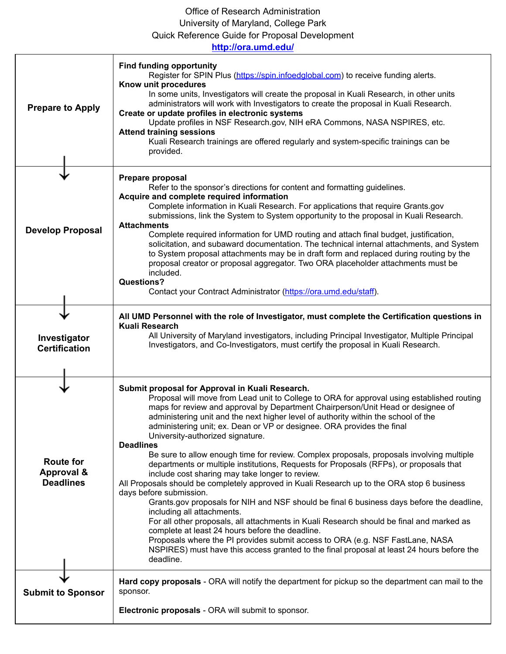## Office of Research Administration University of Maryland, College Park Quick Reference Guide for Proposal Development

| http://ora.umd.edu/                                           |                                                                                                                                                                                                                                                                                                                                                                                                                                                                                                                                                                                                                                                                                                                                                                                                                                                                                                                                                                                                                                                                                                                                                                                                                                                                                                  |  |
|---------------------------------------------------------------|--------------------------------------------------------------------------------------------------------------------------------------------------------------------------------------------------------------------------------------------------------------------------------------------------------------------------------------------------------------------------------------------------------------------------------------------------------------------------------------------------------------------------------------------------------------------------------------------------------------------------------------------------------------------------------------------------------------------------------------------------------------------------------------------------------------------------------------------------------------------------------------------------------------------------------------------------------------------------------------------------------------------------------------------------------------------------------------------------------------------------------------------------------------------------------------------------------------------------------------------------------------------------------------------------|--|
| <b>Prepare to Apply</b>                                       | <b>Find funding opportunity</b><br>Register for SPIN Plus (https://spin.infoedglobal.com) to receive funding alerts.<br>Know unit procedures<br>In some units, Investigators will create the proposal in Kuali Research, in other units<br>administrators will work with Investigators to create the proposal in Kuali Research.<br>Create or update profiles in electronic systems<br>Update profiles in NSF Research.gov, NIH eRA Commons, NASA NSPIRES, etc.<br><b>Attend training sessions</b><br>Kuali Research trainings are offered regularly and system-specific trainings can be<br>provided.                                                                                                                                                                                                                                                                                                                                                                                                                                                                                                                                                                                                                                                                                           |  |
| <b>Develop Proposal</b>                                       | Prepare proposal<br>Refer to the sponsor's directions for content and formatting guidelines.<br>Acquire and complete required information<br>Complete information in Kuali Research. For applications that require Grants.gov<br>submissions, link the System to System opportunity to the proposal in Kuali Research.<br><b>Attachments</b><br>Complete required information for UMD routing and attach final budget, justification,<br>solicitation, and subaward documentation. The technical internal attachments, and System<br>to System proposal attachments may be in draft form and replaced during routing by the<br>proposal creator or proposal aggregator. Two ORA placeholder attachments must be<br>included.<br><b>Questions?</b><br>Contact your Contract Administrator (https://ora.umd.edu/staff).                                                                                                                                                                                                                                                                                                                                                                                                                                                                            |  |
| Investigator<br><b>Certification</b>                          | All UMD Personnel with the role of Investigator, must complete the Certification questions in<br>Kuali Research<br>All University of Maryland investigators, including Principal Investigator, Multiple Principal<br>Investigators, and Co-Investigators, must certify the proposal in Kuali Research.                                                                                                                                                                                                                                                                                                                                                                                                                                                                                                                                                                                                                                                                                                                                                                                                                                                                                                                                                                                           |  |
| <b>Route for</b><br><b>Approval &amp;</b><br><b>Deadlines</b> | Submit proposal for Approval in Kuali Research.<br>Proposal will move from Lead unit to College to ORA for approval using established routing<br>maps for review and approval by Department Chairperson/Unit Head or designee of<br>administering unit and the next higher level of authority within the school of the<br>administering unit; ex. Dean or VP or designee. ORA provides the final<br>University-authorized signature.<br><b>Deadlines</b><br>Be sure to allow enough time for review. Complex proposals, proposals involving multiple<br>departments or multiple institutions, Requests for Proposals (RFPs), or proposals that<br>include cost sharing may take longer to review.<br>All Proposals should be completely approved in Kuali Research up to the ORA stop 6 business<br>days before submission.<br>Grants.gov proposals for NIH and NSF should be final 6 business days before the deadline,<br>including all attachments.<br>For all other proposals, all attachments in Kuali Research should be final and marked as<br>complete at least 24 hours before the deadline.<br>Proposals where the PI provides submit access to ORA (e.g. NSF FastLane, NASA<br>NSPIRES) must have this access granted to the final proposal at least 24 hours before the<br>deadline. |  |
| <b>Submit to Sponsor</b>                                      | Hard copy proposals - ORA will notify the department for pickup so the department can mail to the<br>sponsor.<br>Electronic proposals - ORA will submit to sponsor.                                                                                                                                                                                                                                                                                                                                                                                                                                                                                                                                                                                                                                                                                                                                                                                                                                                                                                                                                                                                                                                                                                                              |  |